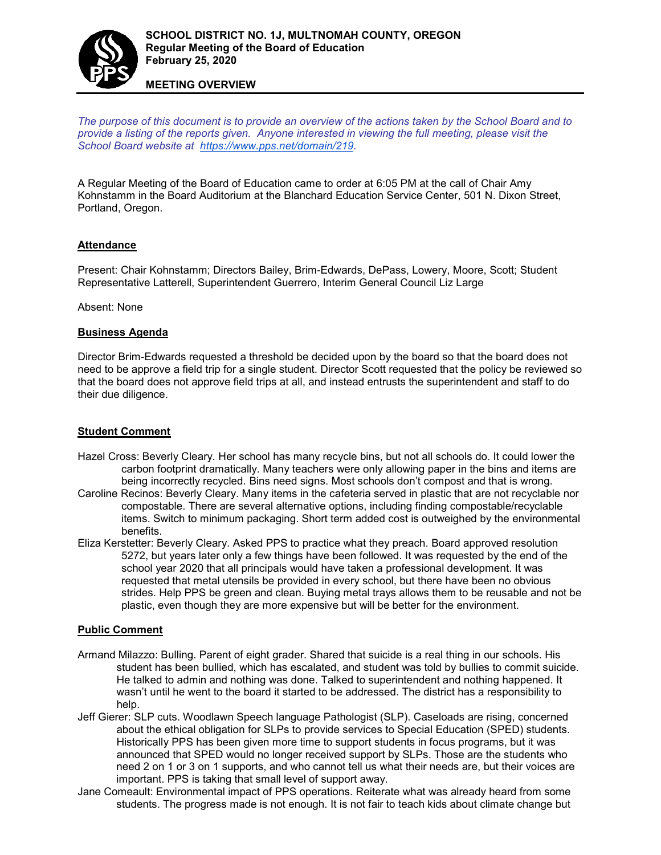

**MEETING OVERVIEW**

*The purpose of this document is to provide an overview of the actions taken by the School Board and to provide a listing of the reports given. Anyone interested in viewing the full meeting, please visit the School Board website at [https://www.pps.net/domain/219.](https://www.pps.net/domain/219)*

A Regular Meeting of the Board of Education came to order at 6:05 PM at the call of Chair Amy Kohnstamm in the Board Auditorium at the Blanchard Education Service Center, 501 N. Dixon Street, Portland, Oregon.

# **Attendance**

Present: Chair Kohnstamm; Directors Bailey, Brim-Edwards, DePass, Lowery, Moore, Scott; Student Representative Latterell, Superintendent Guerrero, Interim General Council Liz Large

Absent: None

#### **Business Agenda**

Director Brim-Edwards requested a threshold be decided upon by the board so that the board does not need to be approve a field trip for a single student. Director Scott requested that the policy be reviewed so that the board does not approve field trips at all, and instead entrusts the superintendent and staff to do their due diligence.

## **Student Comment**

- Hazel Cross: Beverly Cleary. Her school has many recycle bins, but not all schools do. It could lower the carbon footprint dramatically. Many teachers were only allowing paper in the bins and items are being incorrectly recycled. Bins need signs. Most schools don't compost and that is wrong.
- Caroline Recinos: Beverly Cleary. Many items in the cafeteria served in plastic that are not recyclable nor compostable. There are several alternative options, including finding compostable/recyclable items. Switch to minimum packaging. Short term added cost is outweighed by the environmental benefits.
- Eliza Kerstetter: Beverly Cleary. Asked PPS to practice what they preach. Board approved resolution 5272, but years later only a few things have been followed. It was requested by the end of the school year 2020 that all principals would have taken a professional development. It was requested that metal utensils be provided in every school, but there have been no obvious strides. Help PPS be green and clean. Buying metal trays allows them to be reusable and not be plastic, even though they are more expensive but will be better for the environment.

#### **Public Comment**

- Armand Milazzo: Bulling. Parent of eight grader. Shared that suicide is a real thing in our schools. His student has been bullied, which has escalated, and student was told by bullies to commit suicide. He talked to admin and nothing was done. Talked to superintendent and nothing happened. It wasn't until he went to the board it started to be addressed. The district has a responsibility to help.
- Jeff Gierer: SLP cuts. Woodlawn Speech language Pathologist (SLP). Caseloads are rising, concerned about the ethical obligation for SLPs to provide services to Special Education (SPED) students. Historically PPS has been given more time to support students in focus programs, but it was announced that SPED would no longer received support by SLPs. Those are the students who need 2 on 1 or 3 on 1 supports, and who cannot tell us what their needs are, but their voices are important. PPS is taking that small level of support away.
- Jane Comeault: Environmental impact of PPS operations. Reiterate what was already heard from some students. The progress made is not enough. It is not fair to teach kids about climate change but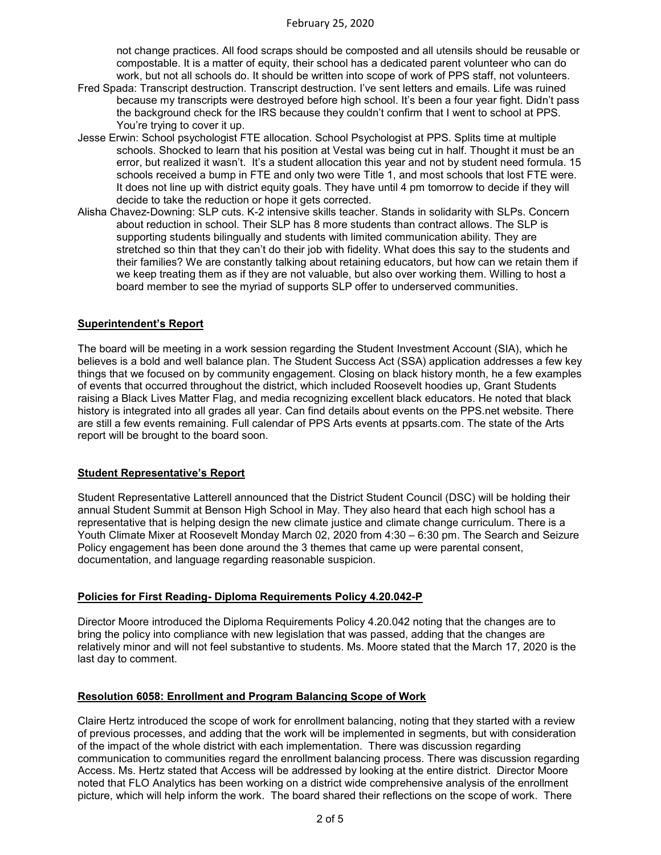not change practices. All food scraps should be composted and all utensils should be reusable or compostable. It is a matter of equity, their school has a dedicated parent volunteer who can do work, but not all schools do. It should be written into scope of work of PPS staff, not volunteers.

- Fred Spada: Transcript destruction. Transcript destruction. I've sent letters and emails. Life was ruined because my transcripts were destroyed before high school. It's been a four year fight. Didn't pass the background check for the IRS because they couldn't confirm that I went to school at PPS. You're trying to cover it up.
- Jesse Erwin: School psychologist FTE allocation. School Psychologist at PPS. Splits time at multiple schools. Shocked to learn that his position at Vestal was being cut in half. Thought it must be an error, but realized it wasn't. It's a student allocation this year and not by student need formula. 15 schools received a bump in FTE and only two were Title 1, and most schools that lost FTE were. It does not line up with district equity goals. They have until 4 pm tomorrow to decide if they will decide to take the reduction or hope it gets corrected.
- Alisha Chavez-Downing: SLP cuts. K-2 intensive skills teacher. Stands in solidarity with SLPs. Concern about reduction in school. Their SLP has 8 more students than contract allows. The SLP is supporting students bilingually and students with limited communication ability. They are stretched so thin that they can't do their job with fidelity. What does this say to the students and their families? We are constantly talking about retaining educators, but how can we retain them if we keep treating them as if they are not valuable, but also over working them. Willing to host a board member to see the myriad of supports SLP offer to underserved communities.

# **Superintendent's Report**

The board will be meeting in a work session regarding the Student Investment Account (SIA), which he believes is a bold and well balance plan. The Student Success Act (SSA) application addresses a few key things that we focused on by community engagement. Closing on black history month, he a few examples of events that occurred throughout the district, which included Roosevelt hoodies up, Grant Students raising a Black Lives Matter Flag, and media recognizing excellent black educators. He noted that black history is integrated into all grades all year. Can find details about events on the PPS.net website. There are still a few events remaining. Full calendar of PPS Arts events at ppsarts.com. The state of the Arts report will be brought to the board soon.

#### **Student Representative's Report**

Student Representative Latterell announced that the District Student Council (DSC) will be holding their annual Student Summit at Benson High School in May. They also heard that each high school has a representative that is helping design the new climate justice and climate change curriculum. There is a Youth Climate Mixer at Roosevelt Monday March 02, 2020 from 4:30 – 6:30 pm. The Search and Seizure Policy engagement has been done around the 3 themes that came up were parental consent, documentation, and language regarding reasonable suspicion.

#### **Policies for First Reading- Diploma Requirements Policy 4.20.042-P**

Director Moore introduced the Diploma Requirements Policy 4.20.042 noting that the changes are to bring the policy into compliance with new legislation that was passed, adding that the changes are relatively minor and will not feel substantive to students. Ms. Moore stated that the March 17, 2020 is the last day to comment.

#### **Resolution 6058: Enrollment and Program Balancing Scope of Work**

Claire Hertz introduced the scope of work for enrollment balancing, noting that they started with a review of previous processes, and adding that the work will be implemented in segments, but with consideration of the impact of the whole district with each implementation. There was discussion regarding communication to communities regard the enrollment balancing process. There was discussion regarding Access. Ms. Hertz stated that Access will be addressed by looking at the entire district. Director Moore noted that FLO Analytics has been working on a district wide comprehensive analysis of the enrollment picture, which will help inform the work. The board shared their reflections on the scope of work. There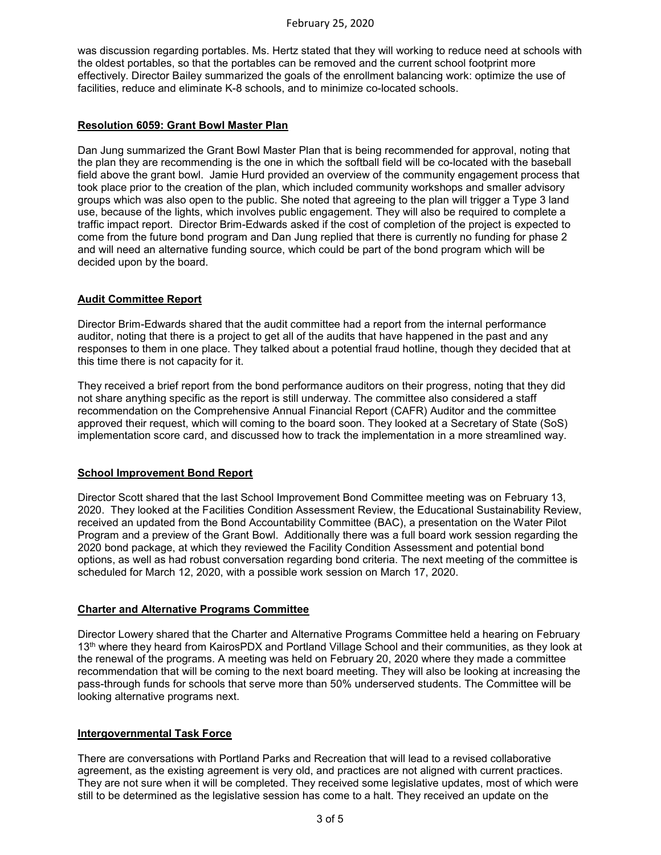was discussion regarding portables. Ms. Hertz stated that they will working to reduce need at schools with the oldest portables, so that the portables can be removed and the current school footprint more effectively. Director Bailey summarized the goals of the enrollment balancing work: optimize the use of facilities, reduce and eliminate K-8 schools, and to minimize co-located schools.

# **Resolution 6059: Grant Bowl Master Plan**

Dan Jung summarized the Grant Bowl Master Plan that is being recommended for approval, noting that the plan they are recommending is the one in which the softball field will be co-located with the baseball field above the grant bowl. Jamie Hurd provided an overview of the community engagement process that took place prior to the creation of the plan, which included community workshops and smaller advisory groups which was also open to the public. She noted that agreeing to the plan will trigger a Type 3 land use, because of the lights, which involves public engagement. They will also be required to complete a traffic impact report. Director Brim-Edwards asked if the cost of completion of the project is expected to come from the future bond program and Dan Jung replied that there is currently no funding for phase 2 and will need an alternative funding source, which could be part of the bond program which will be decided upon by the board.

# **Audit Committee Report**

Director Brim-Edwards shared that the audit committee had a report from the internal performance auditor, noting that there is a project to get all of the audits that have happened in the past and any responses to them in one place. They talked about a potential fraud hotline, though they decided that at this time there is not capacity for it.

They received a brief report from the bond performance auditors on their progress, noting that they did not share anything specific as the report is still underway. The committee also considered a staff recommendation on the Comprehensive Annual Financial Report (CAFR) Auditor and the committee approved their request, which will coming to the board soon. They looked at a Secretary of State (SoS) implementation score card, and discussed how to track the implementation in a more streamlined way.

#### **School Improvement Bond Report**

Director Scott shared that the last School Improvement Bond Committee meeting was on February 13, 2020. They looked at the Facilities Condition Assessment Review, the Educational Sustainability Review, received an updated from the Bond Accountability Committee (BAC), a presentation on the Water Pilot Program and a preview of the Grant Bowl. Additionally there was a full board work session regarding the 2020 bond package, at which they reviewed the Facility Condition Assessment and potential bond options, as well as had robust conversation regarding bond criteria. The next meeting of the committee is scheduled for March 12, 2020, with a possible work session on March 17, 2020.

# **Charter and Alternative Programs Committee**

Director Lowery shared that the Charter and Alternative Programs Committee held a hearing on February 13<sup>th</sup> where they heard from KairosPDX and Portland Village School and their communities, as they look at the renewal of the programs. A meeting was held on February 20, 2020 where they made a committee recommendation that will be coming to the next board meeting. They will also be looking at increasing the pass-through funds for schools that serve more than 50% underserved students. The Committee will be looking alternative programs next.

# **Intergovernmental Task Force**

There are conversations with Portland Parks and Recreation that will lead to a revised collaborative agreement, as the existing agreement is very old, and practices are not aligned with current practices. They are not sure when it will be completed. They received some legislative updates, most of which were still to be determined as the legislative session has come to a halt. They received an update on the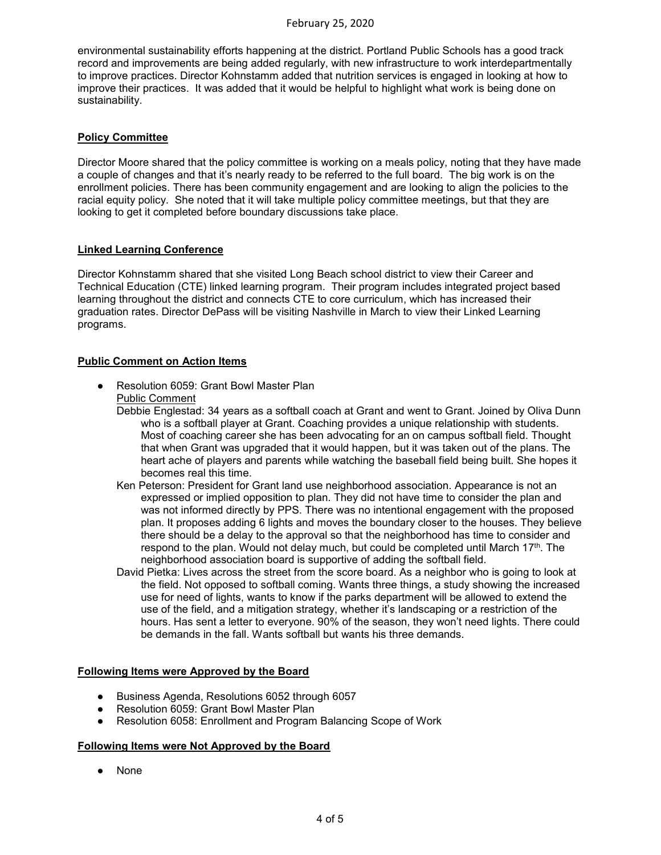environmental sustainability efforts happening at the district. Portland Public Schools has a good track record and improvements are being added regularly, with new infrastructure to work interdepartmentally to improve practices. Director Kohnstamm added that nutrition services is engaged in looking at how to improve their practices. It was added that it would be helpful to highlight what work is being done on sustainability.

## **Policy Committee**

Director Moore shared that the policy committee is working on a meals policy, noting that they have made a couple of changes and that it's nearly ready to be referred to the full board. The big work is on the enrollment policies. There has been community engagement and are looking to align the policies to the racial equity policy. She noted that it will take multiple policy committee meetings, but that they are looking to get it completed before boundary discussions take place.

# **Linked Learning Conference**

Director Kohnstamm shared that she visited Long Beach school district to view their Career and Technical Education (CTE) linked learning program. Their program includes integrated project based learning throughout the district and connects CTE to core curriculum, which has increased their graduation rates. Director DePass will be visiting Nashville in March to view their Linked Learning programs.

# **Public Comment on Action Items**

- Resolution 6059: Grant Bowl Master Plan Public Comment
	- Debbie Englestad: 34 years as a softball coach at Grant and went to Grant. Joined by Oliva Dunn who is a softball player at Grant. Coaching provides a unique relationship with students. Most of coaching career she has been advocating for an on campus softball field. Thought that when Grant was upgraded that it would happen, but it was taken out of the plans. The heart ache of players and parents while watching the baseball field being built. She hopes it becomes real this time.
	- Ken Peterson: President for Grant land use neighborhood association. Appearance is not an expressed or implied opposition to plan. They did not have time to consider the plan and was not informed directly by PPS. There was no intentional engagement with the proposed plan. It proposes adding 6 lights and moves the boundary closer to the houses. They believe there should be a delay to the approval so that the neighborhood has time to consider and respond to the plan. Would not delay much, but could be completed until March 17<sup>th</sup>. The neighborhood association board is supportive of adding the softball field.
	- David Pietka: Lives across the street from the score board. As a neighbor who is going to look at the field. Not opposed to softball coming. Wants three things, a study showing the increased use for need of lights, wants to know if the parks department will be allowed to extend the use of the field, and a mitigation strategy, whether it's landscaping or a restriction of the hours. Has sent a letter to everyone. 90% of the season, they won't need lights. There could be demands in the fall. Wants softball but wants his three demands.

#### **Following Items were Approved by the Board**

- Business Agenda, Resolutions 6052 through 6057
- Resolution 6059: Grant Bowl Master Plan
- Resolution 6058: Enrollment and Program Balancing Scope of Work

#### **Following Items were Not Approved by the Board**

● None